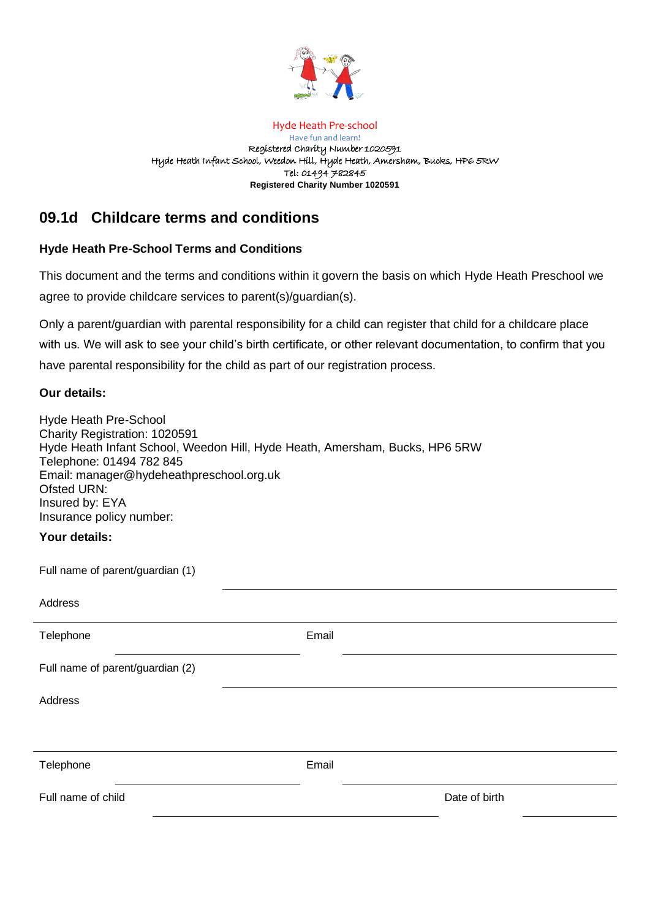

#### Hyde Heath Pre-school

Have fun and learn! Registered Charity Number 1020591 Hyde Heath Infant School, Weedon Hill, Hyde Heath, Amersham, Bucks, HP6 5RW Tel: 01494 782845 **Registered Charity Number 1020591**

# **09.1d Childcare terms and conditions**

## **Hyde Heath Pre-School Terms and Conditions**

This document and the terms and conditions within it govern the basis on which Hyde Heath Preschool we agree to provide childcare services to parent(s)/guardian(s).

Only a parent/guardian with parental responsibility for a child can register that child for a childcare place with us. We will ask to see your child's birth certificate, or other relevant documentation, to confirm that you have parental responsibility for the child as part of our registration process.

## **Our details:**

Hyde Heath Pre-School Charity Registration: 1020591 Hyde Heath Infant School, Weedon Hill, Hyde Heath, Amersham, Bucks, HP6 5RW Telephone: 01494 782 845 Email: manager@hydeheathpreschool.org.uk Ofsted URN: Insured by: EYA Insurance policy number:

## **Your details:**

Full name of parent/guardian (1)

| Address                          |       |               |
|----------------------------------|-------|---------------|
| Telephone                        | Email |               |
| Full name of parent/guardian (2) |       |               |
| Address                          |       |               |
|                                  |       |               |
| Telephone                        | Email |               |
| Full name of child               |       | Date of birth |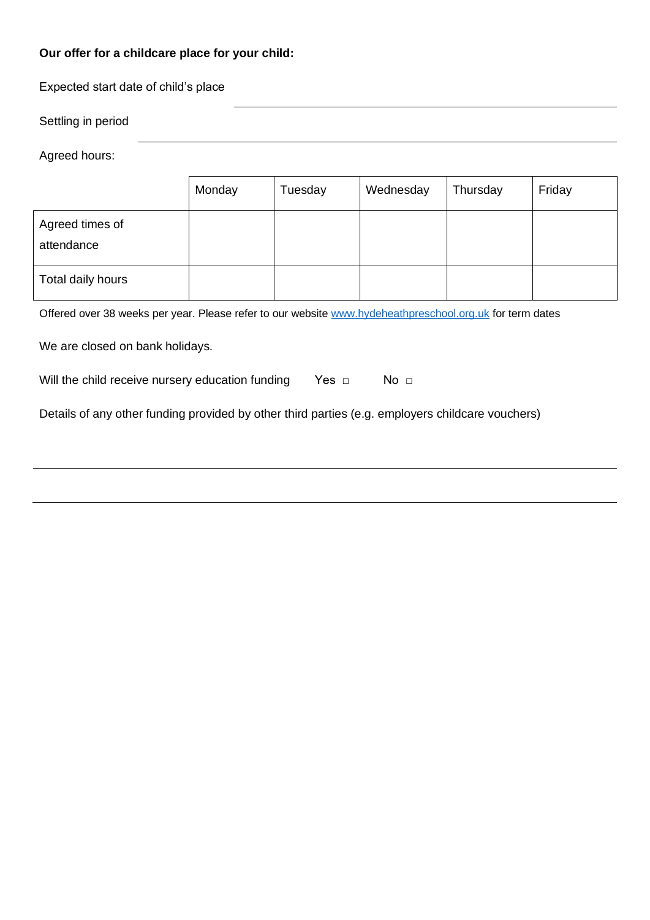# **Our offer for a childcare place for your child:**

Expected start date of child's place

| Settling in period |  |  |
|--------------------|--|--|
|--------------------|--|--|

Agreed hours:

|                               | Monday | Tuesday | Wednesday | Thursday | Friday |
|-------------------------------|--------|---------|-----------|----------|--------|
| Agreed times of<br>attendance |        |         |           |          |        |
| Total daily hours             |        |         |           |          |        |

Offered over 38 weeks per year. Please refer to our website [www.hydeheathpreschool.org.uk](http://www.hydeheathpreschool.org.uk/) for term dates

We are closed on bank holidays.

| Will the child receive nursery education funding |  | No $\sqcap$ |
|--------------------------------------------------|--|-------------|
|--------------------------------------------------|--|-------------|

Details of any other funding provided by other third parties (e.g. employers childcare vouchers)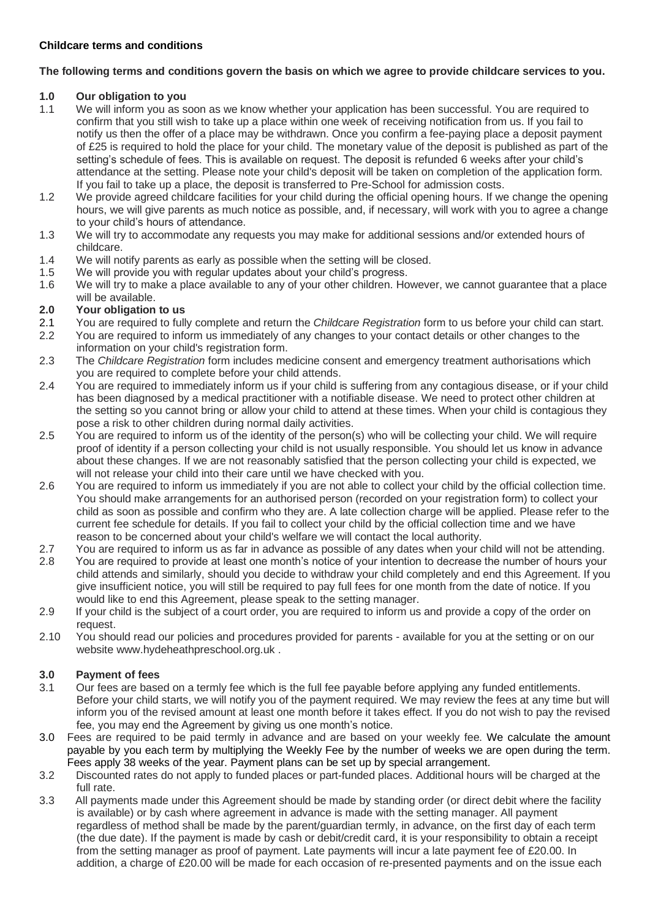## **The following terms and conditions govern the basis on which we agree to provide childcare services to you.**

## **1.0 Our obligation to you**

- 1.1 We will inform you as soon as we know whether your application has been successful. You are required to confirm that you still wish to take up a place within one week of receiving notification from us. If you fail to notify us then the offer of a place may be withdrawn. Once you confirm a fee-paying place a deposit payment of £25 is required to hold the place for your child. The monetary value of the deposit is published as part of the setting's schedule of fees. This is available on request. The deposit is refunded 6 weeks after your child's attendance at the setting. Please note your child's deposit will be taken on completion of the application form. If you fail to take up a place, the deposit is transferred to Pre-School for admission costs.
- 1.2 We provide agreed childcare facilities for your child during the official opening hours. If we change the opening hours, we will give parents as much notice as possible, and, if necessary, will work with you to agree a change to your child's hours of attendance.
- 1.3 We will try to accommodate any requests you may make for additional sessions and/or extended hours of childcare.
- 1.4 We will notify parents as early as possible when the setting will be closed.
- 1.5 We will provide you with regular updates about your child's progress.
- 1.6 We will try to make a place available to any of your other children. However, we cannot guarantee that a place will be available.

# **2.0 Your obligation to us**

- 2.1 You are required to fully complete and return the *Childcare Registration* form to us before your child can start.
- 2.2 You are required to inform us immediately of any changes to your contact details or other changes to the information on your child's registration form.
- 2.3 The *Childcare Registration* form includes medicine consent and emergency treatment authorisations which you are required to complete before your child attends.
- 2.4 You are required to immediately inform us if your child is suffering from any contagious disease, or if your child has been diagnosed by a medical practitioner with a notifiable disease. We need to protect other children at the setting so you cannot bring or allow your child to attend at these times. When your child is contagious they pose a risk to other children during normal daily activities.
- 2.5 You are required to inform us of the identity of the person(s) who will be collecting your child. We will require proof of identity if a person collecting your child is not usually responsible. You should let us know in advance about these changes. If we are not reasonably satisfied that the person collecting your child is expected, we will not release your child into their care until we have checked with you.
- 2.6 You are required to inform us immediately if you are not able to collect your child by the official collection time. You should make arrangements for an authorised person (recorded on your registration form) to collect your child as soon as possible and confirm who they are. A late collection charge will be applied. Please refer to the current fee schedule for details. If you fail to collect your child by the official collection time and we have reason to be concerned about your child's welfare we will contact the local authority.
- 2.7 You are required to inform us as far in advance as possible of any dates when your child will not be attending. 2.8 You are required to provide at least one month's notice of your intention to decrease the number of hours your child attends and similarly, should you decide to withdraw your child completely and end this Agreement. If you give insufficient notice, you will still be required to pay full fees for one month from the date of notice. If you would like to end this Agreement, please speak to the setting manager.
- 2.9 If your child is the subject of a court order, you are required to inform us and provide a copy of the order on request.
- 2.10 You should read our policies and procedures provided for parents available for you at the setting or on our website www.hydeheathpreschool.org.uk .

# **3.0 Payment of fees**

- 3.1 Our fees are based on a termly fee which is the full fee payable before applying any funded entitlements. Before your child starts, we will notify you of the payment required. We may review the fees at any time but will inform you of the revised amount at least one month before it takes effect. If you do not wish to pay the revised fee, you may end the Agreement by giving us one month's notice.
- 3.0 Fees are required to be paid termly in advance and are based on your weekly fee. We calculate the amount payable by you each term by multiplying the Weekly Fee by the number of weeks we are open during the term. Fees apply 38 weeks of the year. Payment plans can be set up by special arrangement.
- 3.2 Discounted rates do not apply to funded places or part-funded places. Additional hours will be charged at the full rate.
- 3.3 All payments made under this Agreement should be made by standing order (or direct debit where the facility is available) or by cash where agreement in advance is made with the setting manager. All payment regardless of method shall be made by the parent/guardian termly, in advance, on the first day of each term (the due date). If the payment is made by cash or debit/credit card, it is your responsibility to obtain a receipt from the setting manager as proof of payment. Late payments will incur a late payment fee of £20.00. In addition, a charge of £20.00 will be made for each occasion of re-presented payments and on the issue each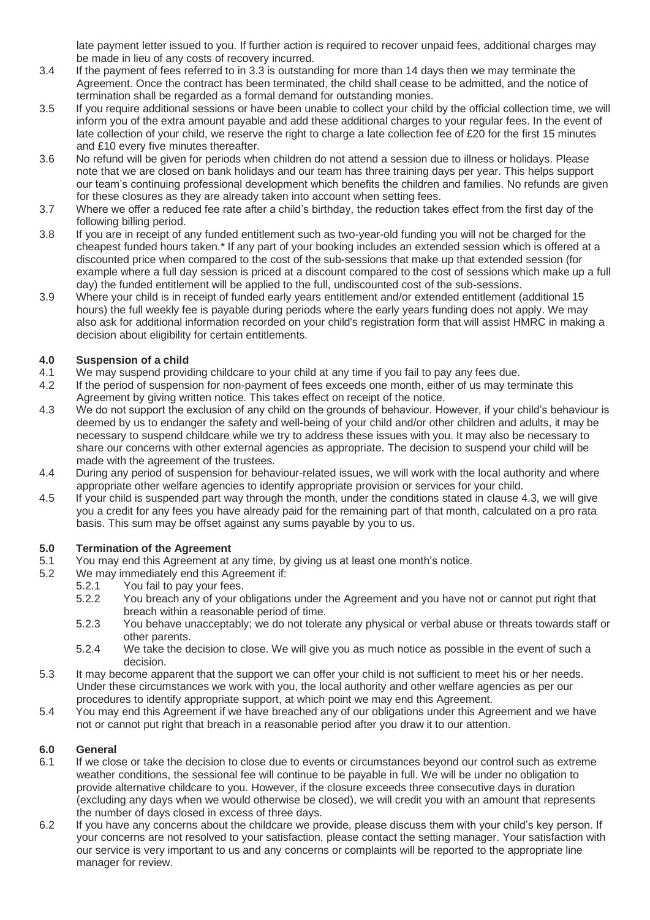late payment letter issued to you. If further action is required to recover unpaid fees, additional charges may be made in lieu of any costs of recovery incurred.

- 3.4 If the payment of fees referred to in 3.3 is outstanding for more than 14 days then we may terminate the Agreement. Once the contract has been terminated, the child shall cease to be admitted, and the notice of termination shall be regarded as a formal demand for outstanding monies.
- 3.5 If you require additional sessions or have been unable to collect your child by the official collection time, we will inform you of the extra amount payable and add these additional charges to your regular fees. In the event of late collection of your child, we reserve the right to charge a late collection fee of £20 for the first 15 minutes and £10 every five minutes thereafter.
- 3.6 No refund will be given for periods when children do not attend a session due to illness or holidays. Please note that we are closed on bank holidays and our team has three training days per year. This helps support our team's continuing professional development which benefits the children and families. No refunds are given for these closures as they are already taken into account when setting fees.
- 3.7 Where we offer a reduced fee rate after a child's birthday, the reduction takes effect from the first day of the following billing period.
- 3.8 If you are in receipt of any funded entitlement such as two-year-old funding you will not be charged for the cheapest funded hours taken.\* If any part of your booking includes an extended session which is offered at a discounted price when compared to the cost of the sub-sessions that make up that extended session (for example where a full day session is priced at a discount compared to the cost of sessions which make up a full day) the funded entitlement will be applied to the full, undiscounted cost of the sub-sessions.
- 3.9 Where your child is in receipt of funded early years entitlement and/or extended entitlement (additional 15 hours) the full weekly fee is payable during periods where the early years funding does not apply. We may also ask for additional information recorded on your child's registration form that will assist HMRC in making a decision about eligibility for certain entitlements.

### **4.0 Suspension of a child**

- 4.1 We may suspend providing childcare to your child at any time if you fail to pay any fees due.
- 4.2 If the period of suspension for non-payment of fees exceeds one month, either of us may terminate this Agreement by giving written notice. This takes effect on receipt of the notice.
- 4.3 We do not support the exclusion of any child on the grounds of behaviour. However, if your child's behaviour is deemed by us to endanger the safety and well-being of your child and/or other children and adults, it may be necessary to suspend childcare while we try to address these issues with you. It may also be necessary to share our concerns with other external agencies as appropriate. The decision to suspend your child will be made with the agreement of the trustees.
- 4.4 During any period of suspension for behaviour-related issues, we will work with the local authority and where appropriate other welfare agencies to identify appropriate provision or services for your child.
- 4.5 If your child is suspended part way through the month, under the conditions stated in clause 4.3, we will give you a credit for any fees you have already paid for the remaining part of that month, calculated on a pro rata basis. This sum may be offset against any sums payable by you to us.

#### **5.0 Termination of the Agreement**

- 5.1 You may end this Agreement at any time, by giving us at least one month's notice.
- 5.2 We may immediately end this Agreement if:
	- 5.2.1 You fail to pay your fees.
		- 5.2.2 You breach any of your obligations under the Agreement and you have not or cannot put right that breach within a reasonable period of time.
		- 5.2.3 You behave unacceptably; we do not tolerate any physical or verbal abuse or threats towards staff or other parents.
		- 5.2.4 We take the decision to close. We will give you as much notice as possible in the event of such a decision.
- 5.3 It may become apparent that the support we can offer your child is not sufficient to meet his or her needs. Under these circumstances we work with you, the local authority and other welfare agencies as per our procedures to identify appropriate support, at which point we may end this Agreement.
- 5.4 You may end this Agreement if we have breached any of our obligations under this Agreement and we have not or cannot put right that breach in a reasonable period after you draw it to our attention.

### **6.0 General**

- 6.1 If we close or take the decision to close due to events or circumstances beyond our control such as extreme weather conditions, the sessional fee will continue to be payable in full. We will be under no obligation to provide alternative childcare to you. However, if the closure exceeds three consecutive days in duration (excluding any days when we would otherwise be closed), we will credit you with an amount that represents the number of days closed in excess of three days.
- 6.2 If you have any concerns about the childcare we provide, please discuss them with your child's key person. If your concerns are not resolved to your satisfaction, please contact the setting manager. Your satisfaction with our service is very important to us and any concerns or complaints will be reported to the appropriate line manager for review.